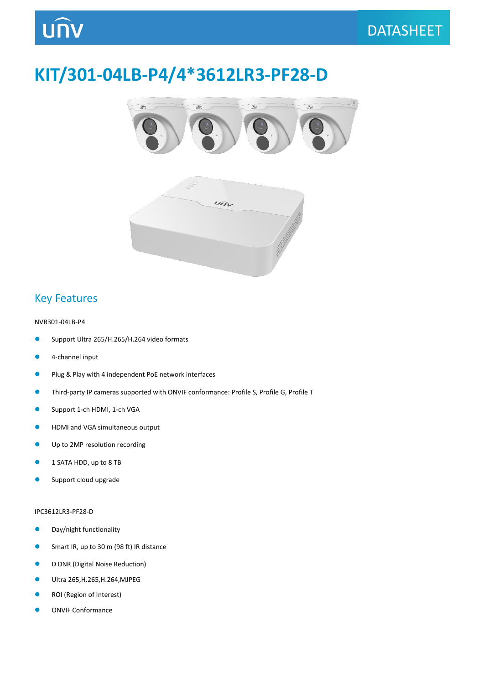## **KIT/301-04LB-P4/4\*3612LR3-PF28-D**





### Key Features

#### NVR301-04LB-P4

- Support Ultra 265/H.265/H.264 video formats
- **4**-channel input
- **Plug & Play with 4 independent PoE network interfaces**
- Third-party IP cameras supported with ONVIF conformance: Profile S, Profile G, Profile T
- **Support 1-ch HDMI, 1-ch VGA**
- **HDMI and VGA simultaneous output**
- **Up to 2MP resolution recording**
- **1 SATA HDD, up to 8 TB**
- Support cloud upgrade

#### IPC3612LR3-PF28-D

- **O** Day/night functionality
- **Smart IR, up to 30 m (98 ft) IR distance**
- **D DNR (Digital Noise Reduction)**
- Ultra 265,H.265,H.264,MJPEG
- **COI** (Region of Interest)
- **ONVIF Conformance**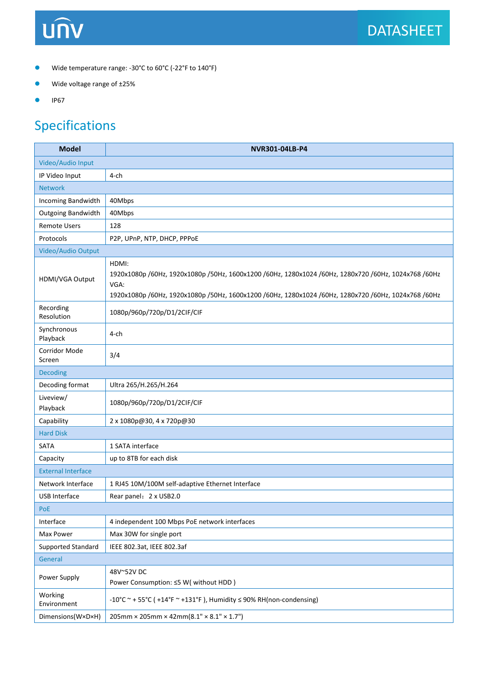## **UNV**

- Wide temperature range: -30°C to 60°C (-22°F to 140°F)
- Wide voltage range of ±25%
- $\bullet$  IP67

### Specifications

| <b>Model</b>              | NVR301-04LB-P4                                                                                                                                                                                                                |  |  |  |  |  |  |
|---------------------------|-------------------------------------------------------------------------------------------------------------------------------------------------------------------------------------------------------------------------------|--|--|--|--|--|--|
| Video/Audio Input         |                                                                                                                                                                                                                               |  |  |  |  |  |  |
| IP Video Input            | $4$ -ch                                                                                                                                                                                                                       |  |  |  |  |  |  |
| <b>Network</b>            |                                                                                                                                                                                                                               |  |  |  |  |  |  |
| Incoming Bandwidth        | 40Mbps                                                                                                                                                                                                                        |  |  |  |  |  |  |
| Outgoing Bandwidth        | 40Mbps                                                                                                                                                                                                                        |  |  |  |  |  |  |
| <b>Remote Users</b>       | 128                                                                                                                                                                                                                           |  |  |  |  |  |  |
| Protocols                 | P2P, UPnP, NTP, DHCP, PPPoE                                                                                                                                                                                                   |  |  |  |  |  |  |
| Video/Audio Output        |                                                                                                                                                                                                                               |  |  |  |  |  |  |
| HDMI/VGA Output           | HDMI:<br>1920x1080p /60Hz, 1920x1080p /50Hz, 1600x1200 /60Hz, 1280x1024 /60Hz, 1280x720 /60Hz, 1024x768 /60Hz<br>VGA:<br>1920x1080p /60Hz, 1920x1080p /50Hz, 1600x1200 /60Hz, 1280x1024 /60Hz, 1280x720 /60Hz, 1024x768 /60Hz |  |  |  |  |  |  |
| Recording<br>Resolution   | 1080p/960p/720p/D1/2CIF/CIF                                                                                                                                                                                                   |  |  |  |  |  |  |
| Synchronous<br>Playback   | $4$ -ch                                                                                                                                                                                                                       |  |  |  |  |  |  |
| Corridor Mode<br>Screen   | 3/4                                                                                                                                                                                                                           |  |  |  |  |  |  |
| <b>Decoding</b>           |                                                                                                                                                                                                                               |  |  |  |  |  |  |
| Decoding format           | Ultra 265/H.265/H.264                                                                                                                                                                                                         |  |  |  |  |  |  |
| Liveview/<br>Playback     | 1080p/960p/720p/D1/2CIF/CIF                                                                                                                                                                                                   |  |  |  |  |  |  |
| Capability                | 2 x 1080p@30, 4 x 720p@30                                                                                                                                                                                                     |  |  |  |  |  |  |
| <b>Hard Disk</b>          |                                                                                                                                                                                                                               |  |  |  |  |  |  |
| <b>SATA</b>               | 1 SATA interface                                                                                                                                                                                                              |  |  |  |  |  |  |
| Capacity                  | up to 8TB for each disk                                                                                                                                                                                                       |  |  |  |  |  |  |
| <b>External Interface</b> |                                                                                                                                                                                                                               |  |  |  |  |  |  |
| Network Interface         | 1 RJ45 10M/100M self-adaptive Ethernet Interface                                                                                                                                                                              |  |  |  |  |  |  |
| <b>USB Interface</b>      | Rear panel: 2 x USB2.0                                                                                                                                                                                                        |  |  |  |  |  |  |
| PoE                       |                                                                                                                                                                                                                               |  |  |  |  |  |  |
| Interface                 | 4 independent 100 Mbps PoE network interfaces                                                                                                                                                                                 |  |  |  |  |  |  |
| Max Power                 | Max 30W for single port                                                                                                                                                                                                       |  |  |  |  |  |  |
| Supported Standard        | IEEE 802.3at, IEEE 802.3af                                                                                                                                                                                                    |  |  |  |  |  |  |
| General                   |                                                                                                                                                                                                                               |  |  |  |  |  |  |
| Power Supply              | 48V~52V DC<br>Power Consumption: ≤5 W( without HDD)                                                                                                                                                                           |  |  |  |  |  |  |
| Working<br>Environment    | -10°C ~ + 55°C ( +14°F ~ +131°F), Humidity $\leq$ 90% RH(non-condensing)                                                                                                                                                      |  |  |  |  |  |  |
| Dimensions(W×D×H)         | $205$ mm × 205mm × 42mm(8.1" × 8.1" × 1.7")                                                                                                                                                                                   |  |  |  |  |  |  |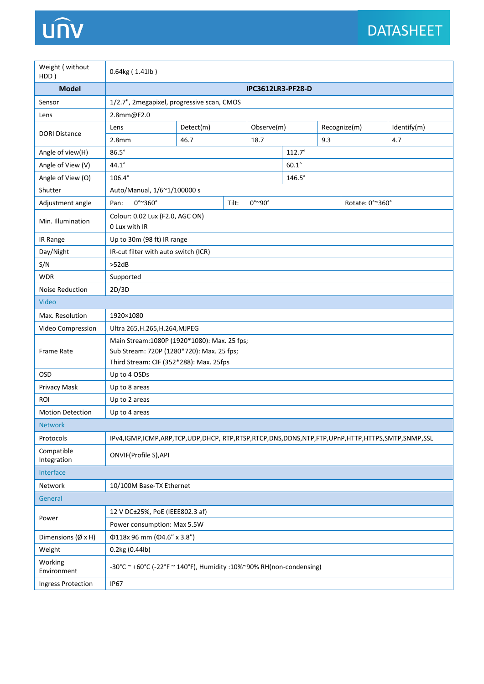# unv

| Weight ( without<br>HDD)          | 0.64kg (1.41lb)                                                                               |                                              |  |      |                            |     |  |             |  |  |
|-----------------------------------|-----------------------------------------------------------------------------------------------|----------------------------------------------|--|------|----------------------------|-----|--|-------------|--|--|
| <b>Model</b>                      | <b>IPC3612LR3-PF28-D</b>                                                                      |                                              |  |      |                            |     |  |             |  |  |
| Sensor                            | 1/2.7", 2megapixel, progressive scan, CMOS                                                    |                                              |  |      |                            |     |  |             |  |  |
| Lens                              | 2.8mm@F2.0                                                                                    |                                              |  |      |                            |     |  |             |  |  |
|                                   | Detect(m)<br>Lens                                                                             |                                              |  |      | Observe(m)<br>Recognize(m) |     |  | Identify(m) |  |  |
| <b>DORI Distance</b>              | 2.8 <sub>mm</sub>                                                                             | 46.7                                         |  | 18.7 |                            | 9.3 |  | 4.7         |  |  |
| Angle of view(H)                  | $86.5^\circ$<br>$112.7^\circ$                                                                 |                                              |  |      |                            |     |  |             |  |  |
| Angle of View (V)                 | $44.1^\circ$                                                                                  |                                              |  |      | $60.1^\circ$               |     |  |             |  |  |
| Angle of View (O)                 | $106.4^\circ$<br>$146.5^\circ$                                                                |                                              |  |      |                            |     |  |             |  |  |
| Shutter                           | Auto/Manual, 1/6~1/100000 s                                                                   |                                              |  |      |                            |     |  |             |  |  |
| Adjustment angle                  | $0^{\circ}$ ~360 $^{\circ}$<br>Pan:                                                           | $0^{\circ}$ ~90°<br>Tilt:<br>Rotate: 0°~360° |  |      |                            |     |  |             |  |  |
| Min. Illumination                 | Colour: 0.02 Lux (F2.0, AGC ON)<br>0 Lux with IR                                              |                                              |  |      |                            |     |  |             |  |  |
| IR Range                          | Up to 30m (98 ft) IR range                                                                    |                                              |  |      |                            |     |  |             |  |  |
| Day/Night                         | IR-cut filter with auto switch (ICR)                                                          |                                              |  |      |                            |     |  |             |  |  |
| S/N                               | >52dB                                                                                         |                                              |  |      |                            |     |  |             |  |  |
| <b>WDR</b>                        | Supported                                                                                     |                                              |  |      |                            |     |  |             |  |  |
| <b>Noise Reduction</b>            | 2D/3D                                                                                         |                                              |  |      |                            |     |  |             |  |  |
| Video                             |                                                                                               |                                              |  |      |                            |     |  |             |  |  |
| Max. Resolution                   | 1920×1080                                                                                     |                                              |  |      |                            |     |  |             |  |  |
| Video Compression                 | Ultra 265, H.265, H.264, MJPEG                                                                |                                              |  |      |                            |     |  |             |  |  |
|                                   | Main Stream: 1080P (1920*1080): Max. 25 fps;                                                  |                                              |  |      |                            |     |  |             |  |  |
| <b>Frame Rate</b>                 | Sub Stream: 720P (1280*720): Max. 25 fps;                                                     |                                              |  |      |                            |     |  |             |  |  |
|                                   | Third Stream: CIF (352*288): Max. 25fps                                                       |                                              |  |      |                            |     |  |             |  |  |
| OSD                               | Up to 4 OSDs                                                                                  |                                              |  |      |                            |     |  |             |  |  |
| Privacy Mask                      | Up to 8 areas                                                                                 |                                              |  |      |                            |     |  |             |  |  |
| ROI                               | Up to 2 areas                                                                                 |                                              |  |      |                            |     |  |             |  |  |
| <b>Motion Detection</b>           | Up to 4 areas                                                                                 |                                              |  |      |                            |     |  |             |  |  |
| <b>Network</b>                    |                                                                                               |                                              |  |      |                            |     |  |             |  |  |
| Protocols                         | IPv4,IGMP,ICMP,ARP,TCP,UDP,DHCP, RTP,RTSP,RTCP,DNS,DDNS,NTP,FTP,UPnP,HTTP,HTTPS,SMTP,SNMP,SSL |                                              |  |      |                            |     |  |             |  |  |
| Compatible<br>Integration         | ONVIF(Profile S), API                                                                         |                                              |  |      |                            |     |  |             |  |  |
| Interface                         |                                                                                               |                                              |  |      |                            |     |  |             |  |  |
| Network                           | 10/100M Base-TX Ethernet                                                                      |                                              |  |      |                            |     |  |             |  |  |
| General                           |                                                                                               |                                              |  |      |                            |     |  |             |  |  |
| Power                             | 12 V DC±25%, PoE (IEEE802.3 af)                                                               |                                              |  |      |                            |     |  |             |  |  |
|                                   | Power consumption: Max 5.5W                                                                   |                                              |  |      |                            |     |  |             |  |  |
| Dimensions $(\emptyset \times H)$ | Φ118x 96 mm (Φ4.6" x 3.8")                                                                    |                                              |  |      |                            |     |  |             |  |  |
| Weight                            | 0.2kg (0.44lb)                                                                                |                                              |  |      |                            |     |  |             |  |  |
| Working<br>Environment            | -30°C ~ +60°C (-22°F ~ 140°F), Humidity :10%~90% RH(non-condensing)                           |                                              |  |      |                            |     |  |             |  |  |
| Ingress Protection                | <b>IP67</b>                                                                                   |                                              |  |      |                            |     |  |             |  |  |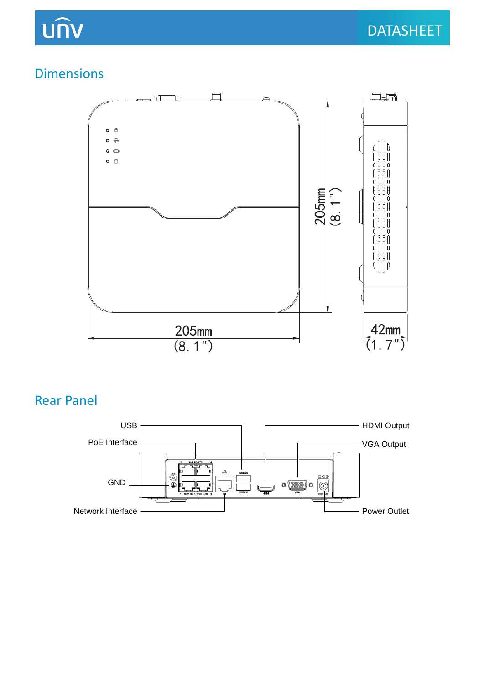## UNV

### Dimensions



### Rear Panel